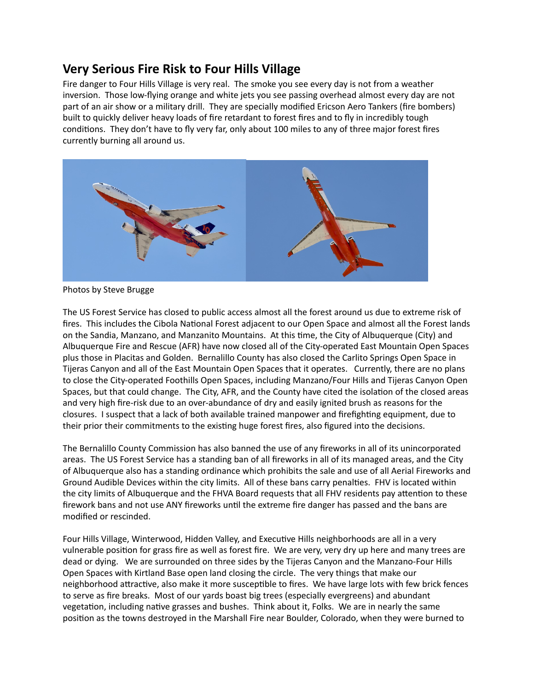## **Very Serious Fire Risk to Four Hills Village**

Fire danger to Four Hills Village is very real. The smoke you see every day is not from a weather inversion. Those low-flying orange and white jets you see passing overhead almost every day are not part of an air show or a military drill. They are specially modified Ericson Aero Tankers (fire bombers) built to quickly deliver heavy loads of fire retardant to forest fires and to fly in incredibly tough conditions. They don't have to fly very far, only about 100 miles to any of three major forest fires currently burning all around us.



Photos by Steve Brugge

The US Forest Service has closed to public access almost all the forest around us due to extreme risk of fires. This includes the Cibola National Forest adjacent to our Open Space and almost all the Forest lands on the Sandia, Manzano, and Manzanito Mountains. At this time, the City of Albuquerque (City) and Albuquerque Fire and Rescue (AFR) have now closed all of the City-operated East Mountain Open Spaces plus those in Placitas and Golden. Bernalillo County has also closed the Carlito Springs Open Space in Tijeras Canyon and all of the East Mountain Open Spaces that it operates. Currently, there are no plans to close the City-operated Foothills Open Spaces, including Manzano/Four Hills and Tijeras Canyon Open Spaces, but that could change. The City, AFR, and the County have cited the isolation of the closed areas and very high fire-risk due to an over-abundance of dry and easily ignited brush as reasons for the closures. I suspect that a lack of both available trained manpower and firefighting equipment, due to their prior their commitments to the existing huge forest fires, also figured into the decisions.

The Bernalillo County Commission has also banned the use of any fireworks in all of its unincorporated areas. The US Forest Service has a standing ban of all fireworks in all of its managed areas, and the City of Albuquerque also has a standing ordinance which prohibits the sale and use of all Aerial Fireworks and Ground Audible Devices within the city limits. All of these bans carry penalties. FHV is located within the city limits of Albuquerque and the FHVA Board requests that all FHV residents pay attention to these firework bans and not use ANY fireworks until the extreme fire danger has passed and the bans are modified or rescinded.

Four Hills Village, Winterwood, Hidden Valley, and Executive Hills neighborhoods are all in a very vulnerable position for grass fire as well as forest fire. We are very, very dry up here and many trees are dead or dying. We are surrounded on three sides by the Tijeras Canyon and the Manzano-Four Hills Open Spaces with Kirtland Base open land closing the circle. The very things that make our neighborhood attractive, also make it more susceptible to fires. We have large lots with few brick fences to serve as fire breaks. Most of our yards boast big trees (especially evergreens) and abundant vegetation, including native grasses and bushes. Think about it, Folks. We are in nearly the same position as the towns destroyed in the Marshall Fire near Boulder, Colorado, when they were burned to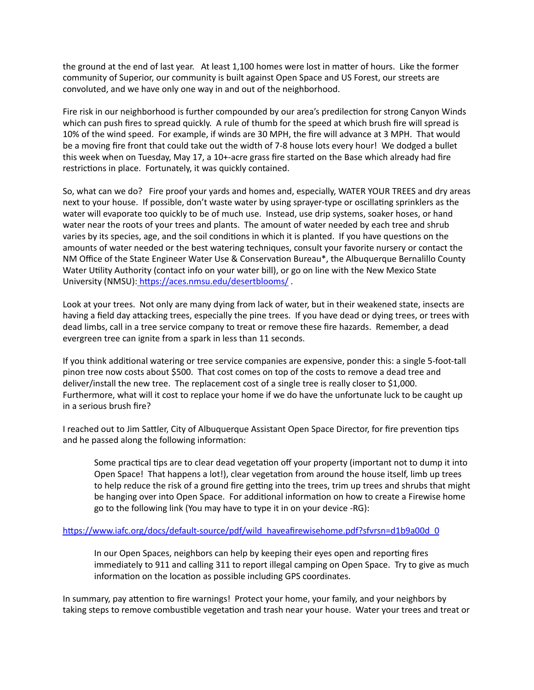the ground at the end of last year. At least 1,100 homes were lost in matter of hours. Like the former community of Superior, our community is built against Open Space and US Forest, our streets are convoluted, and we have only one way in and out of the neighborhood.

Fire risk in our neighborhood is further compounded by our area's predilection for strong Canyon Winds which can push fires to spread quickly. A rule of thumb for the speed at which brush fire will spread is 10% of the wind speed. For example, if winds are 30 MPH, the fire will advance at 3 MPH. That would be a moving fire front that could take out the width of 7-8 house lots every hour! We dodged a bullet this week when on Tuesday, May 17, a 10+-acre grass fire started on the Base which already had fire restrictions in place. Fortunately, it was quickly contained.

So, what can we do? Fire proof your yards and homes and, especially, WATER YOUR TREES and dry areas next to your house. If possible, don't waste water by using sprayer-type or oscillating sprinklers as the water will evaporate too quickly to be of much use. Instead, use drip systems, soaker hoses, or hand water near the roots of your trees and plants. The amount of water needed by each tree and shrub varies by its species, age, and the soil conditions in which it is planted. If you have questions on the amounts of water needed or the best watering techniques, consult your favorite nursery or contact the NM Office of the State Engineer Water Use & Conservation Bureau\*, the Albuquerque Bernalillo County Water Utility Authority (contact info on your water bill), or go on line with the New Mexico State University (NMSU): https://aces.nmsu.edu/desertblooms/.

Look at your trees. Not only are many dying from lack of water, but in their weakened state, insects are having a field day attacking trees, especially the pine trees. If you have dead or dying trees, or trees with dead limbs, call in a tree service company to treat or remove these fire hazards. Remember, a dead evergreen tree can ignite from a spark in less than 11 seconds.

If you think additional watering or tree service companies are expensive, ponder this: a single 5-foot-tall pinon tree now costs about \$500. That cost comes on top of the costs to remove a dead tree and deliver/install the new tree. The replacement cost of a single tree is really closer to \$1,000. Furthermore, what will it cost to replace your home if we do have the unfortunate luck to be caught up in a serious brush fire?

I reached out to Jim Sattler, City of Albuquerque Assistant Open Space Director, for fire prevention tips and he passed along the following information:

Some practical tips are to clear dead vegetation off your property (important not to dump it into Open Space! That happens a lot!), clear vegetation from around the house itself, limb up trees to help reduce the risk of a ground fire getting into the trees, trim up trees and shrubs that might be hanging over into Open Space. For additional information on how to create a Firewise home go to the following link (You may have to type it in on your device -RG):

## [https://www.iafc.org/docs/default-source/pdf/wild\\_haveafirewisehome.pdf?sfvrsn=d1b9a00d\\_0](https://www.iafc.org/docs/default-source/pdf/wild_haveafirewisehome.pdf?sfvrsn=d1b9a00d_0)

In our Open Spaces, neighbors can help by keeping their eyes open and reporting fires immediately to 911 and calling 311 to report illegal camping on Open Space. Try to give as much information on the location as possible including GPS coordinates.

In summary, pay attention to fire warnings! Protect your home, your family, and your neighbors by taking steps to remove combustible vegetation and trash near your house. Water your trees and treat or